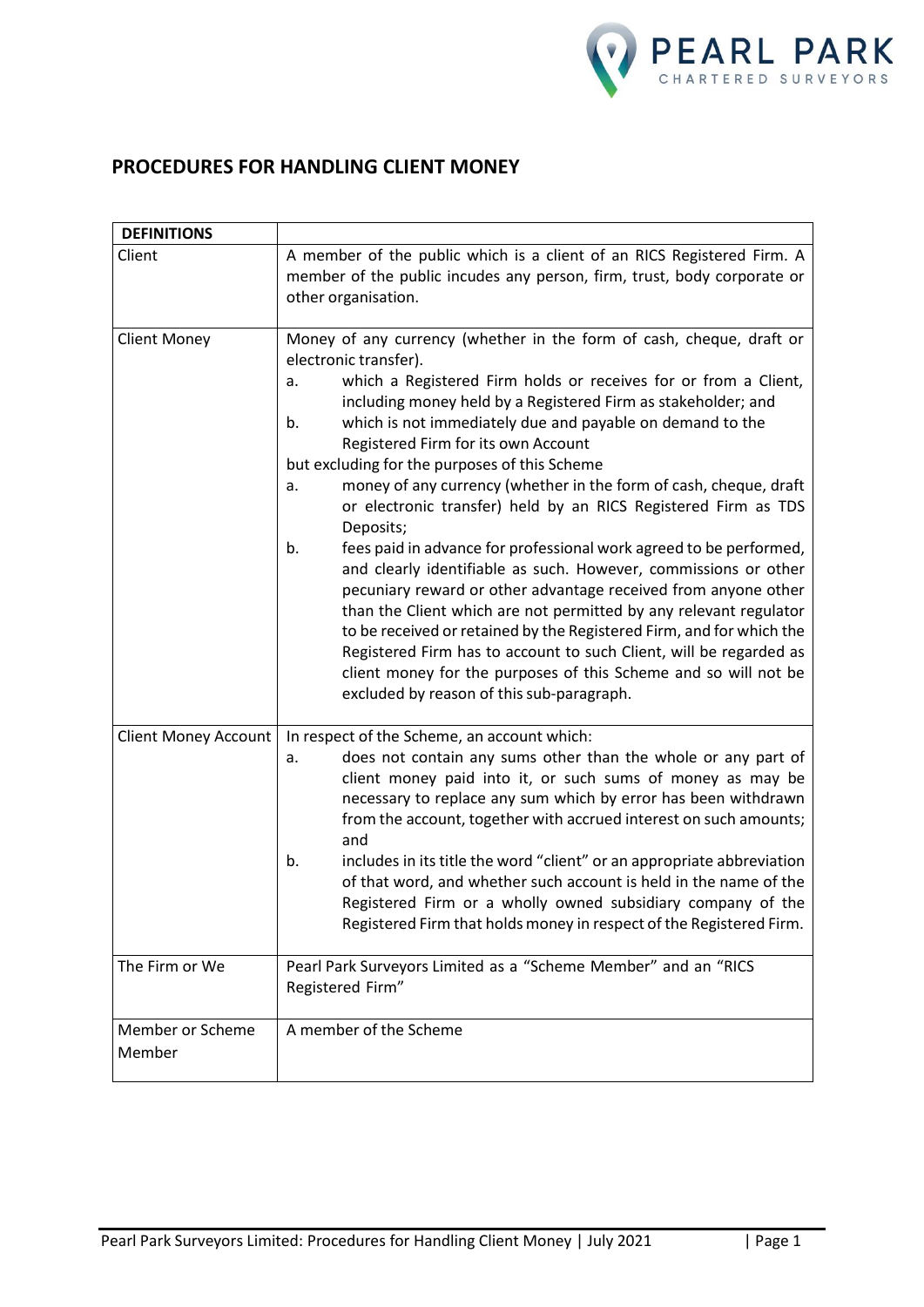

# **PROCEDURES FOR HANDLING CLIENT MONEY**

| <b>DEFINITIONS</b>          |                                                                                                                                                                                                                                                                                                                                                                                                                                                                                                                                                                                                                                                                                                                                                                                                                                                                                                                                                                                                                                                                                                                  |
|-----------------------------|------------------------------------------------------------------------------------------------------------------------------------------------------------------------------------------------------------------------------------------------------------------------------------------------------------------------------------------------------------------------------------------------------------------------------------------------------------------------------------------------------------------------------------------------------------------------------------------------------------------------------------------------------------------------------------------------------------------------------------------------------------------------------------------------------------------------------------------------------------------------------------------------------------------------------------------------------------------------------------------------------------------------------------------------------------------------------------------------------------------|
| Client                      | A member of the public which is a client of an RICS Registered Firm. A<br>member of the public incudes any person, firm, trust, body corporate or<br>other organisation.                                                                                                                                                                                                                                                                                                                                                                                                                                                                                                                                                                                                                                                                                                                                                                                                                                                                                                                                         |
| <b>Client Money</b>         | Money of any currency (whether in the form of cash, cheque, draft or<br>electronic transfer).<br>which a Registered Firm holds or receives for or from a Client,<br>a.<br>including money held by a Registered Firm as stakeholder; and<br>which is not immediately due and payable on demand to the<br>b.<br>Registered Firm for its own Account<br>but excluding for the purposes of this Scheme<br>money of any currency (whether in the form of cash, cheque, draft<br>a.<br>or electronic transfer) held by an RICS Registered Firm as TDS<br>Deposits;<br>fees paid in advance for professional work agreed to be performed,<br>b.<br>and clearly identifiable as such. However, commissions or other<br>pecuniary reward or other advantage received from anyone other<br>than the Client which are not permitted by any relevant regulator<br>to be received or retained by the Registered Firm, and for which the<br>Registered Firm has to account to such Client, will be regarded as<br>client money for the purposes of this Scheme and so will not be<br>excluded by reason of this sub-paragraph. |
| <b>Client Money Account</b> | In respect of the Scheme, an account which:<br>does not contain any sums other than the whole or any part of<br>a.<br>client money paid into it, or such sums of money as may be<br>necessary to replace any sum which by error has been withdrawn<br>from the account, together with accrued interest on such amounts;<br>and<br>includes in its title the word "client" or an appropriate abbreviation<br>b.<br>of that word, and whether such account is held in the name of the<br>Registered Firm or a wholly owned subsidiary company of the<br>Registered Firm that holds money in respect of the Registered Firm.                                                                                                                                                                                                                                                                                                                                                                                                                                                                                        |
| The Firm or We              | Pearl Park Surveyors Limited as a "Scheme Member" and an "RICS<br>Registered Firm"                                                                                                                                                                                                                                                                                                                                                                                                                                                                                                                                                                                                                                                                                                                                                                                                                                                                                                                                                                                                                               |
| Member or Scheme<br>Member  | A member of the Scheme                                                                                                                                                                                                                                                                                                                                                                                                                                                                                                                                                                                                                                                                                                                                                                                                                                                                                                                                                                                                                                                                                           |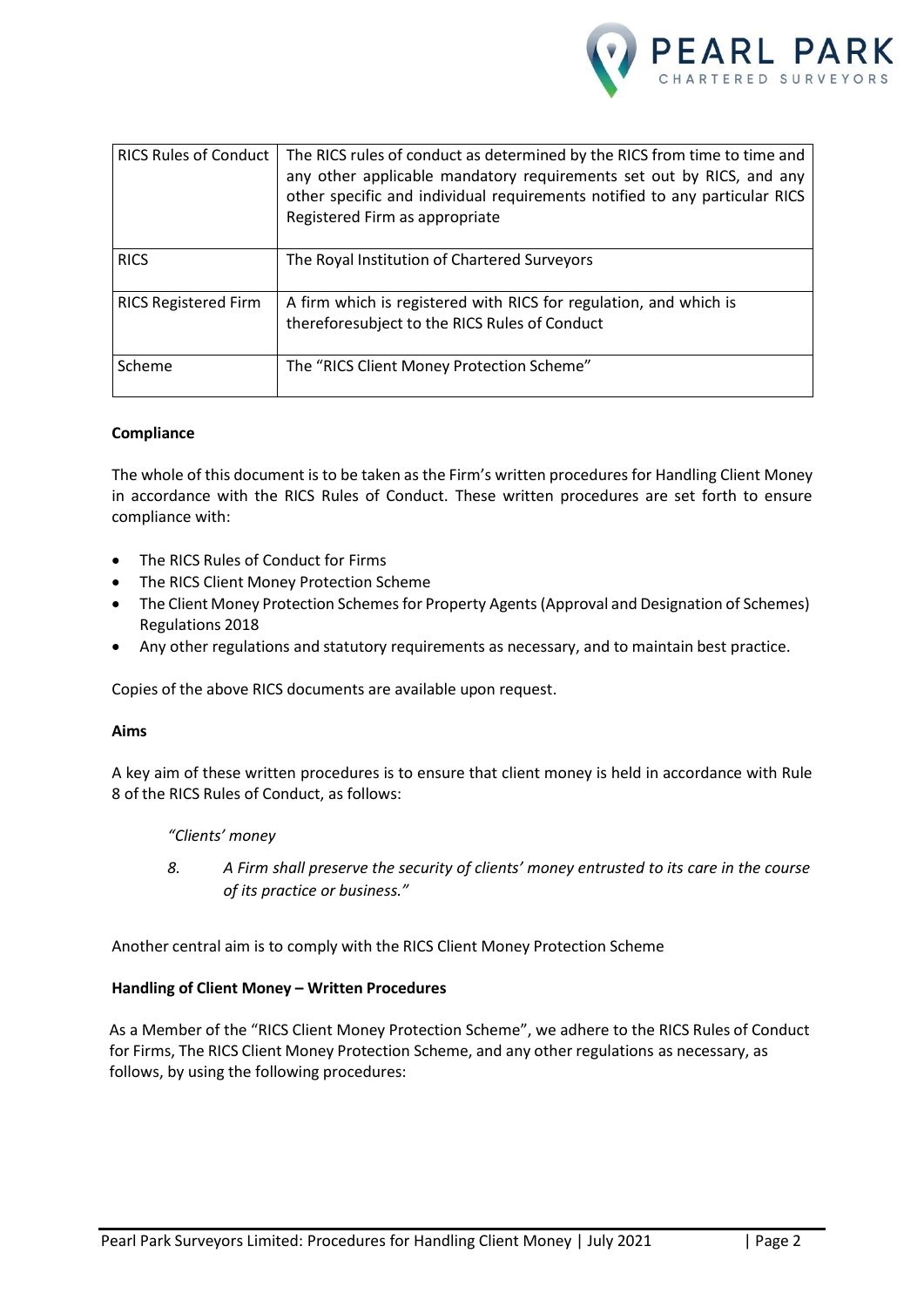

| <b>RICS Rules of Conduct</b> | The RICS rules of conduct as determined by the RICS from time to time and<br>any other applicable mandatory requirements set out by RICS, and any<br>other specific and individual requirements notified to any particular RICS<br>Registered Firm as appropriate |
|------------------------------|-------------------------------------------------------------------------------------------------------------------------------------------------------------------------------------------------------------------------------------------------------------------|
| <b>RICS</b>                  | The Royal Institution of Chartered Surveyors                                                                                                                                                                                                                      |
| <b>RICS Registered Firm</b>  | A firm which is registered with RICS for regulation, and which is<br>thereforesubject to the RICS Rules of Conduct                                                                                                                                                |
| Scheme                       | The "RICS Client Money Protection Scheme"                                                                                                                                                                                                                         |

#### **Compliance**

The whole of this document is to be taken as the Firm's written procedures for Handling Client Money in accordance with the RICS Rules of Conduct. These written procedures are set forth to ensure compliance with:

- The RICS Rules of Conduct for Firms
- The RICS Client Money Protection Scheme
- The Client Money Protection Schemes for Property Agents (Approval and Designation of Schemes) Regulations 2018
- Any other regulations and statutory requirements as necessary, and to maintain best practice.

Copies of the above RICS documents are available upon request.

#### **Aims**

A key aim of these written procedures is to ensure that client money is held in accordance with Rule 8 of the RICS Rules of Conduct, as follows:

## *"Clients' money*

*8. A Firm shall preserve the security of clients' money entrusted to its care in the course of its practice or business."*

Another central aim is to comply with the RICS Client Money Protection Scheme

## **Handling of Client Money – Written Procedures**

As a Member of the "RICS Client Money Protection Scheme", we adhere to the RICS Rules of Conduct for Firms, The RICS Client Money Protection Scheme, and any other regulations as necessary, as follows, by using the following procedures: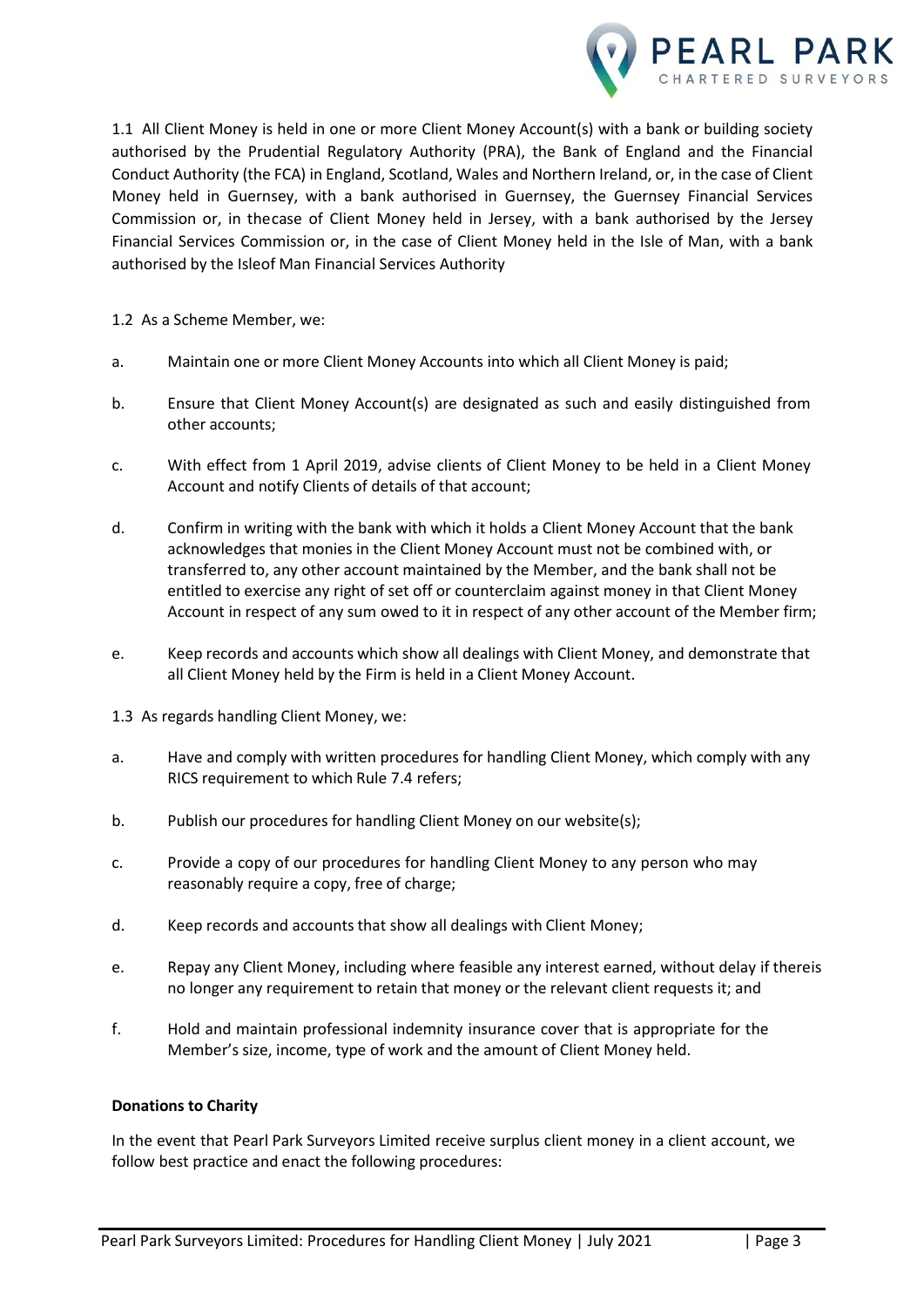

1.1 All Client Money is held in one or more Client Money Account(s) with a bank or building society authorised by the Prudential Regulatory Authority (PRA), the Bank of England and the Financial Conduct Authority (the FCA) in England, Scotland, Wales and Northern Ireland, or, in the case of Client Money held in Guernsey, with a bank authorised in Guernsey, the Guernsey Financial Services Commission or, in thecase of Client Money held in Jersey, with a bank authorised by the Jersey Financial Services Commission or, in the case of Client Money held in the Isle of Man, with a bank authorised by the Isleof Man Financial Services Authority

1.2 As a Scheme Member, we:

- a. Maintain one or more Client Money Accounts into which all Client Money is paid;
- b. Ensure that Client Money Account(s) are designated as such and easily distinguished from other accounts;
- c. With effect from 1 April 2019, advise clients of Client Money to be held in a Client Money Account and notify Clients of details of that account;
- d. Confirm in writing with the bank with which it holds a Client Money Account that the bank acknowledges that monies in the Client Money Account must not be combined with, or transferred to, any other account maintained by the Member, and the bank shall not be entitled to exercise any right of set off or counterclaim against money in that Client Money Account in respect of any sum owed to it in respect of any other account of the Member firm;
- e. Keep records and accounts which show all dealings with Client Money, and demonstrate that all Client Money held by the Firm is held in a Client Money Account.
- 1.3 As regards handling Client Money, we:
- a. Have and comply with written procedures for handling Client Money, which comply with any RICS requirement to which Rule 7.4 refers;
- b. Publish our procedures for handling Client Money on our website(s);
- c. Provide a copy of our procedures for handling Client Money to any person who may reasonably require a copy, free of charge;
- d. Keep records and accounts that show all dealings with Client Money;
- e. Repay any Client Money, including where feasible any interest earned, without delay if thereis no longer any requirement to retain that money or the relevant client requests it; and
- f. Hold and maintain professional indemnity insurance cover that is appropriate for the Member's size, income, type of work and the amount of Client Money held.

#### **Donations to Charity**

In the event that Pearl Park Surveyors Limited receive surplus client money in a client account, we follow best practice and enact the following procedures: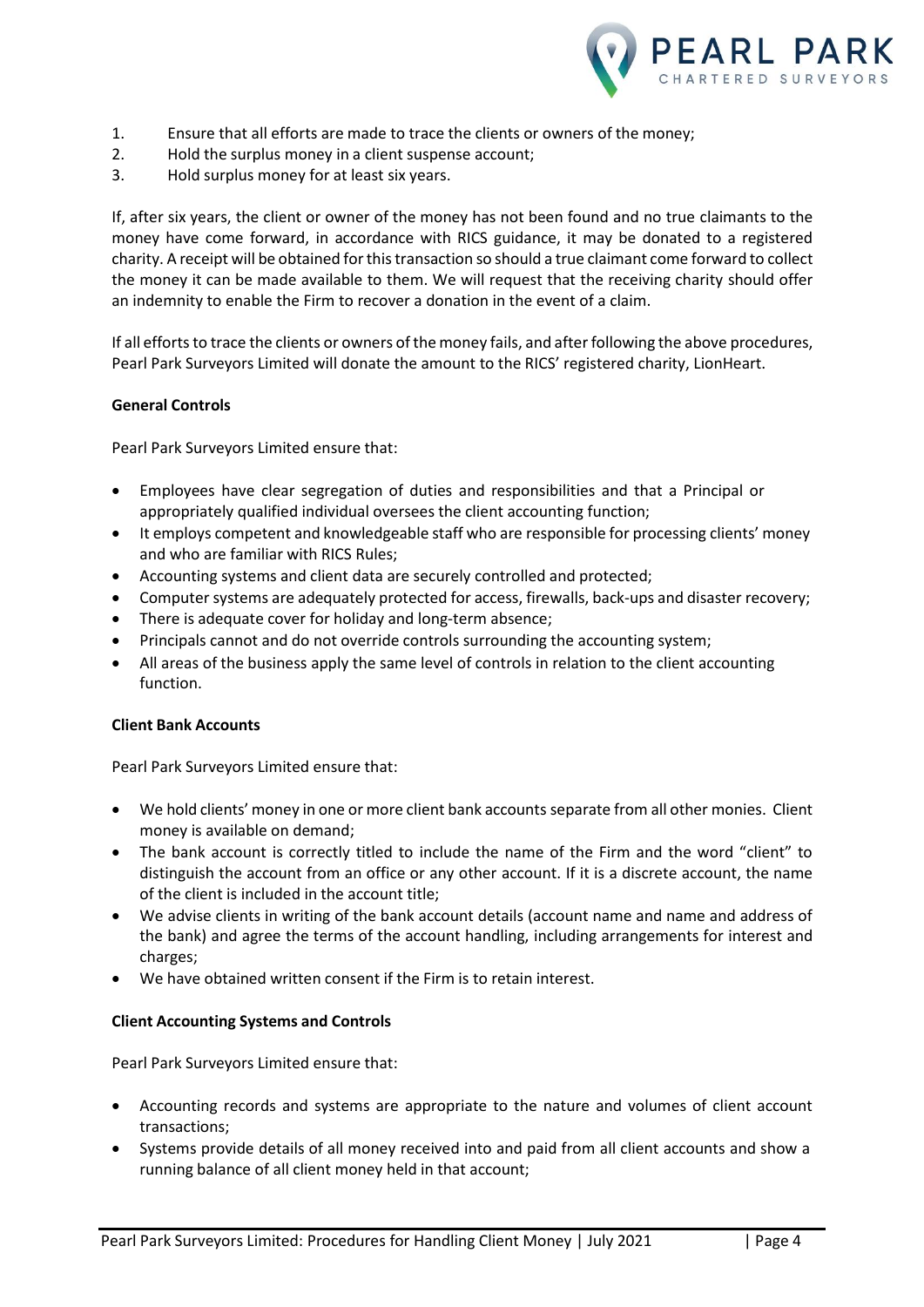

- 1. Ensure that all efforts are made to trace the clients or owners of the money;
- 2. Hold the surplus money in a client suspense account;
- 3. Hold surplus money for at least six years.

If, after six years, the client or owner of the money has not been found and no true claimants to the money have come forward, in accordance with RICS guidance, it may be donated to a registered charity. A receipt will be obtained for this transaction so should a true claimant come forward to collect the money it can be made available to them. We will request that the receiving charity should offer an indemnity to enable the Firm to recover a donation in the event of a claim.

If all efforts to trace the clients or owners of the money fails, and after following the above procedures, Pearl Park Surveyors Limited will donate the amount to the RICS' registered charity, LionHeart.

## **General Controls**

Pearl Park Surveyors Limited ensure that:

- Employees have clear segregation of duties and responsibilities and that a Principal or appropriately qualified individual oversees the client accounting function;
- It employs competent and knowledgeable staff who are responsible for processing clients' money and who are familiar with RICS Rules;
- Accounting systems and client data are securely controlled and protected;
- Computer systems are adequately protected for access, firewalls, back-ups and disaster recovery;
- There is adequate cover for holiday and long-term absence;
- Principals cannot and do not override controls surrounding the accounting system;
- All areas of the business apply the same level of controls in relation to the client accounting function.

## **Client Bank Accounts**

Pearl Park Surveyors Limited ensure that:

- We hold clients' money in one or more client bank accounts separate from all other monies. Client money is available on demand;
- The bank account is correctly titled to include the name of the Firm and the word "client" to distinguish the account from an office or any other account. If it is a discrete account, the name of the client is included in the account title;
- We advise clients in writing of the bank account details (account name and name and address of the bank) and agree the terms of the account handling, including arrangements for interest and charges;
- We have obtained written consent if the Firm is to retain interest.

## **Client Accounting Systems and Controls**

Pearl Park Surveyors Limited ensure that:

- Accounting records and systems are appropriate to the nature and volumes of client account transactions;
- Systems provide details of all money received into and paid from all client accounts and show a running balance of all client money held in that account;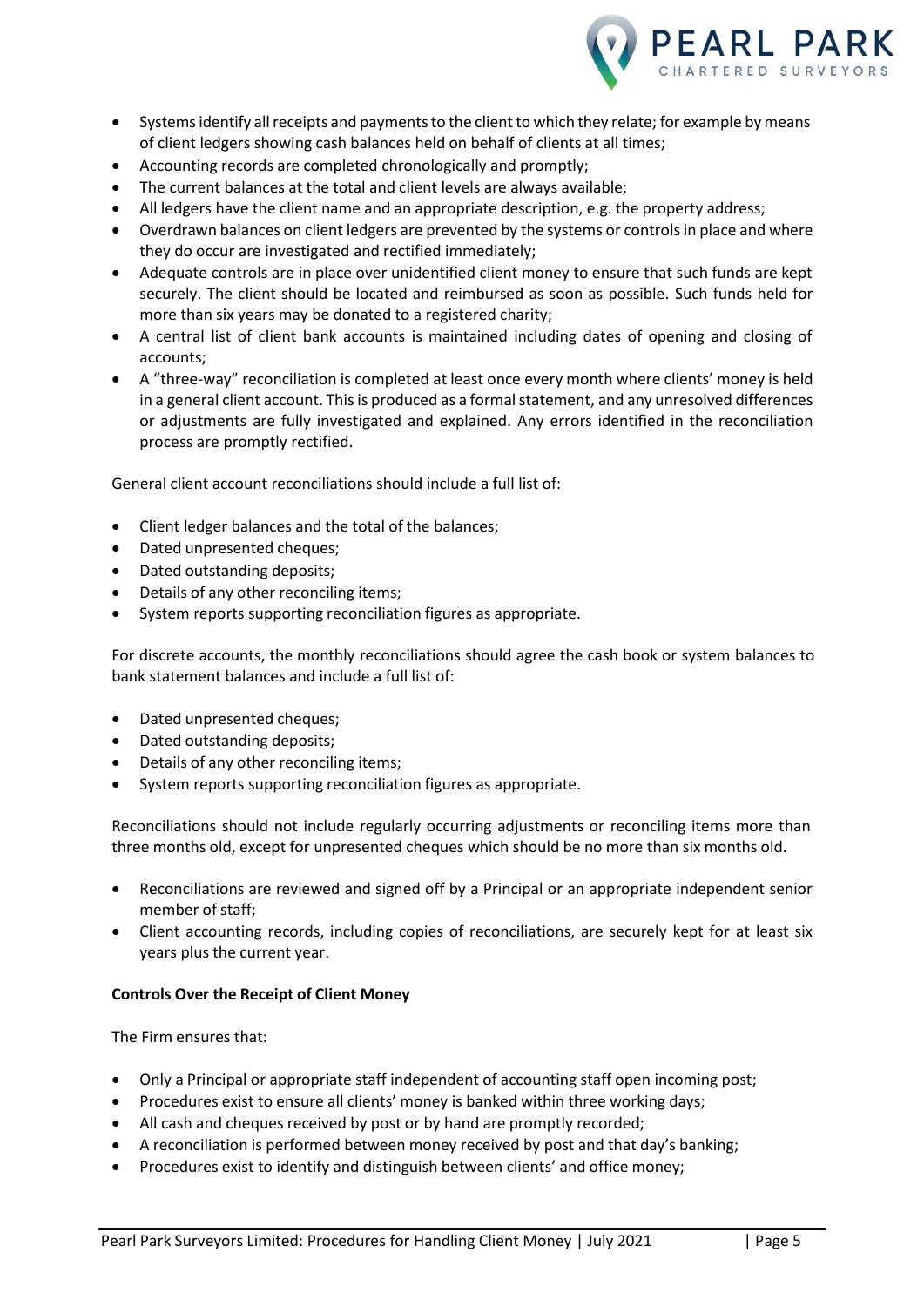

- Systems identify all receipts and payments to the client to which they relate; for example by means of client ledgers showing cash balances held on behalf of clients at all times;
- Accounting records are completed chronologically and promptly;
- The current balances at the total and client levels are always available;
- All ledgers have the client name and an appropriate description, e.g. the property address;
- Overdrawn balances on client ledgers are prevented by the systems or controls in place and where they do occur are investigated and rectified immediately;
- Adequate controls are in place over unidentified client money to ensure that such funds are kept securely. The client should be located and reimbursed as soon as possible. Such funds held for more than six years may be donated to a registered charity;
- A central list of client bank accounts is maintained including dates of opening and closing of accounts;
- A "three-way" reconciliation is completed at least once every month where clients' money is held in a general client account. This is produced as a formal statement, and any unresolved differences or adjustments are fully investigated and explained. Any errors identified in the reconciliation process are promptly rectified.

General client account reconciliations should include a full list of:

- Client ledger balances and the total of the balances;
- Dated unpresented cheques;
- Dated outstanding deposits;
- Details of any other reconciling items;
- System reports supporting reconciliation figures as appropriate.

For discrete accounts, the monthly reconciliations should agree the cash book or system balances to bank statement balances and include a full list of:

- Dated unpresented cheques;
- Dated outstanding deposits;
- Details of any other reconciling items;
- System reports supporting reconciliation figures as appropriate.

Reconciliations should not include regularly occurring adjustments or reconciling items more than three months old, except for unpresented cheques which should be no more than six months old.

- Reconciliations are reviewed and signed off by a Principal or an appropriate independent senior member of staff;
- Client accounting records, including copies of reconciliations, are securely kept for at least six years plus the current year.

## **Controls Over the Receipt of Client Money**

The Firm ensures that:

- Only a Principal or appropriate staff independent of accounting staff open incoming post;
- Procedures exist to ensure all clients' money is banked within three working days;
- All cash and cheques received by post or by hand are promptly recorded;
- A reconciliation is performed between money received by post and that day's banking;
- Procedures exist to identify and distinguish between clients' and office money;